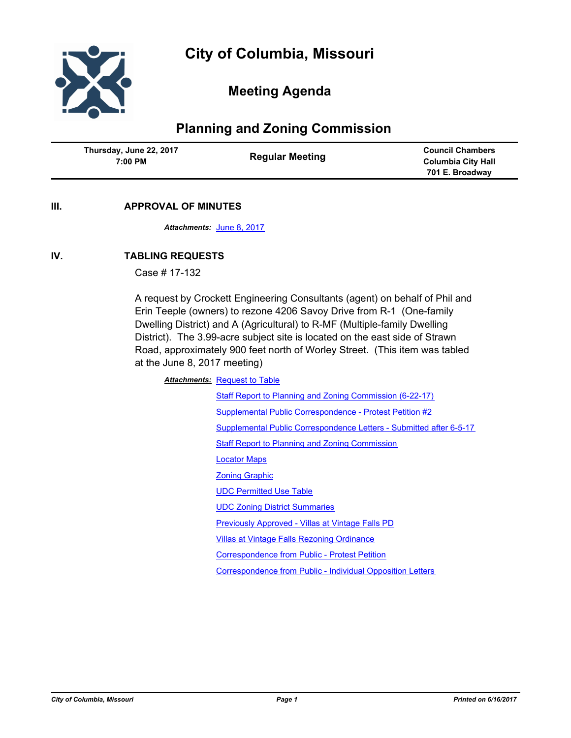

# **Meeting Agenda**

# **Planning and Zoning Commission**

| Thursday, June 22, 2017 | <b>Council Chambers</b>   |
|-------------------------|---------------------------|
| <b>Regular Meeting</b>  | <b>Columbia City Hall</b> |
| 7:00 PM                 | 701 E. Broadway           |

**III. APPROVAL OF MINUTES**

*Attachments:* [June 8, 2017](http://gocolumbiamo.legistar.com/gateway.aspx?M=F&ID=9cfcc71d-eaa2-4282-ac0b-192122fd5301.docx)

## **IV. TABLING REQUESTS**

Case # 17-132

A request by Crockett Engineering Consultants (agent) on behalf of Phil and Erin Teeple (owners) to rezone 4206 Savoy Drive from R-1 (One-family Dwelling District) and A (Agricultural) to R-MF (Multiple-family Dwelling District). The 3.99-acre subject site is located on the east side of Strawn Road, approximately 900 feet north of Worley Street. (This item was tabled at the June 8, 2017 meeting)

**Attachments: [Request to Table](http://gocolumbiamo.legistar.com/gateway.aspx?M=F&ID=7f9d894d-4a62-4a8f-806f-68e982a4e84f.pdf)** 

[Staff Report to Planning and Zoning Commission \(6-22-17\)](http://gocolumbiamo.legistar.com/gateway.aspx?M=F&ID=d48bd9e0-970d-4a66-9915-83adffc67214.pdf) [Supplemental Public Correspondence - Protest Petition #2](http://gocolumbiamo.legistar.com/gateway.aspx?M=F&ID=cd0eb76f-ff01-48b8-ba65-774995f3c115.pdf) [Supplemental Public Correspondence Letters - Submitted after 6-5-17](http://gocolumbiamo.legistar.com/gateway.aspx?M=F&ID=c950f4a7-7377-44dc-b273-50646523bb37.pdf) [Staff Report to Planning and Zoning Commission](http://gocolumbiamo.legistar.com/gateway.aspx?M=F&ID=7e253fa5-69c8-4dc5-8314-64f6dd36d26e.pdf) [Locator Maps](http://gocolumbiamo.legistar.com/gateway.aspx?M=F&ID=530a92cc-d075-4938-9e52-1edcf306180f.pdf) [Zoning Graphic](http://gocolumbiamo.legistar.com/gateway.aspx?M=F&ID=21cbd63c-6a1a-45a4-9af3-ceb2d327ba77.pdf) [UDC Permitted Use Table](http://gocolumbiamo.legistar.com/gateway.aspx?M=F&ID=c77dbed2-7254-44a2-81d9-56ac7c48236a.pdf) [UDC Zoning District Summaries](http://gocolumbiamo.legistar.com/gateway.aspx?M=F&ID=d1e23b8c-857b-4a75-9d15-472ffd552eca.pdf) [Previously Approved - Villas at Vintage Falls PD](http://gocolumbiamo.legistar.com/gateway.aspx?M=F&ID=f54a0242-7544-45d3-b727-53e5a4616a59.pdf) [Villas at Vintage Falls Rezoning Ordinance](http://gocolumbiamo.legistar.com/gateway.aspx?M=F&ID=201316db-4749-4915-853d-fe8178d22ea6.pdf) [Correspondence from Public - Protest Petition](http://gocolumbiamo.legistar.com/gateway.aspx?M=F&ID=ae95ab79-aebb-426a-8b2f-796ab9c32687.pdf) [Correspondence from Public - Individual Opposition Letters](http://gocolumbiamo.legistar.com/gateway.aspx?M=F&ID=a9be52d9-fefb-4c2d-8853-8bd203d45441.pdf)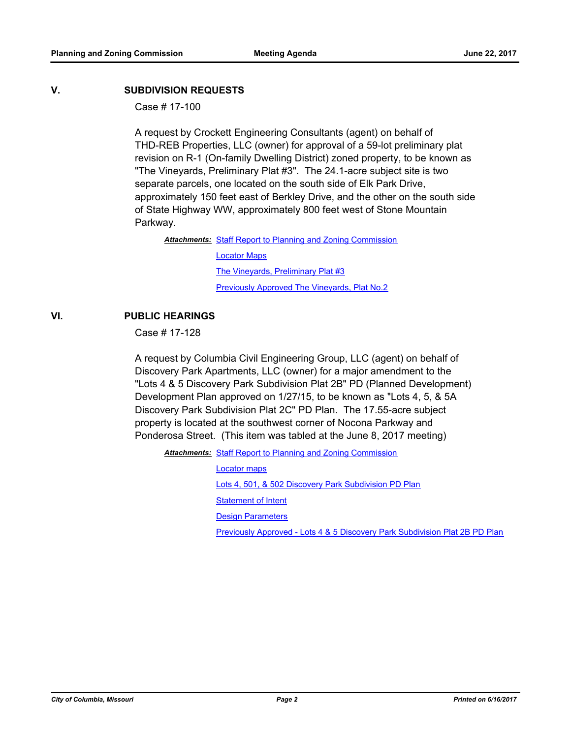#### **V. SUBDIVISION REQUESTS**

Case # 17-100

A request by Crockett Engineering Consultants (agent) on behalf of THD-REB Properties, LLC (owner) for approval of a 59-lot preliminary plat revision on R-1 (On-family Dwelling District) zoned property, to be known as "The Vineyards, Preliminary Plat #3". The 24.1-acre subject site is two separate parcels, one located on the south side of Elk Park Drive, approximately 150 feet east of Berkley Drive, and the other on the south side of State Highway WW, approximately 800 feet west of Stone Mountain Parkway.

Attachments: [Staff Report to Planning and Zoning Commission](http://gocolumbiamo.legistar.com/gateway.aspx?M=F&ID=2c6a9bf4-184e-4e7f-8c1d-7c2bc26ee01d.pdf)

[Locator Maps](http://gocolumbiamo.legistar.com/gateway.aspx?M=F&ID=72f363d3-24c0-475e-b17f-7146d3eec899.pdf) [The Vineyards, Preliminary Plat #3](http://gocolumbiamo.legistar.com/gateway.aspx?M=F&ID=4cb4c75f-5389-4ea2-9118-8002d825bc03.pdf) **[Previously Approved The Vineyards, Plat No.2](http://gocolumbiamo.legistar.com/gateway.aspx?M=F&ID=dedc055c-8af0-4e5d-b43d-1324ea9203dd.pdf)** 

### **VI. PUBLIC HEARINGS**

Case # 17-128

A request by Columbia Civil Engineering Group, LLC (agent) on behalf of Discovery Park Apartments, LLC (owner) for a major amendment to the "Lots 4 & 5 Discovery Park Subdivision Plat 2B" PD (Planned Development) Development Plan approved on 1/27/15, to be known as "Lots 4, 5, & 5A Discovery Park Subdivision Plat 2C" PD Plan. The 17.55-acre subject property is located at the southwest corner of Nocona Parkway and Ponderosa Street. (This item was tabled at the June 8, 2017 meeting)

Attachments: [Staff Report to Planning and Zoning Commission](http://gocolumbiamo.legistar.com/gateway.aspx?M=F&ID=3bdcc1c8-ff7c-483f-8444-4cc9f424a58f.pdf)

[Locator maps](http://gocolumbiamo.legistar.com/gateway.aspx?M=F&ID=6620ac87-287a-4611-83d2-3f5f4b798285.pdf) [Lots 4, 501, & 502 Discovery Park Subdivision PD Plan](http://gocolumbiamo.legistar.com/gateway.aspx?M=F&ID=d91681b4-4e53-4257-bff2-6110dd7ef8a0.pdf) [Statement of Intent](http://gocolumbiamo.legistar.com/gateway.aspx?M=F&ID=2fe2dbcd-2686-4332-bc74-85f229d4427e.pdf) [Design Parameters](http://gocolumbiamo.legistar.com/gateway.aspx?M=F&ID=f5832f37-8f1e-458f-bf59-696d008b9956.pdf) [Previously Approved - Lots 4 & 5 Discovery Park Subdivision Plat 2B PD Plan](http://gocolumbiamo.legistar.com/gateway.aspx?M=F&ID=5e837e91-1fd7-4047-8c1a-fa9e35c629db.pdf)